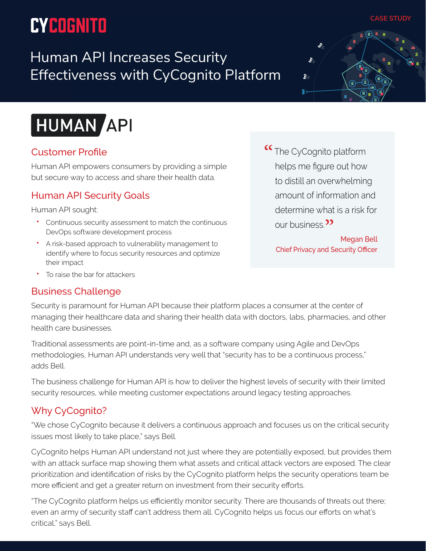# **CYCOGNITO**

Human API Increases Security Effectiveness with CyCognito Platform



**CASE STUDY**



### Customer Profile

Human API empowers consumers by providing a simple but secure way to access and share their health data.

### Human API Security Goals

Human API sought:

- Continuous security assessment to match the continuous DevOps software development process
- A risk-based approach to vulnerability management to identify where to focus security resources and optimize their impact
- To raise the bar for attackers

#### Business Challenge

<sup>"</sup> The CyCognito platform helps me figure out how to distill an overwhelming amount of information and determine what is a risk for our business.<sup>"</sup>

> Megan Bell Chief Privacy and Security Officer

Security is paramount for Human API because their platform places a consumer at the center of managing their healthcare data and sharing their health data with doctors, labs, pharmacies, and other health care businesses.

Traditional assessments are point-in-time and, as a software company using Agile and DevOps methodologies, Human API understands very well that "security has to be a continuous process," adds Bell.

The business challenge for Human API is how to deliver the highest levels of security with their limited security resources, while meeting customer expectations around legacy testing approaches.

## Why CyCognito?

"We chose CyCognito because it delivers a continuous approach and focuses us on the critical security issues most likely to take place," says Bell.

CyCognito helps Human API understand not just where they are potentially exposed, but provides them with an attack surface map showing them what assets and critical attack vectors are exposed. The clear prioritization and identification of risks by the CyCognito platform helps the security operations team be more efficient and get a greater return on investment from their security efforts.

"The CyCognito platform helps us efficiently monitor security. There are thousands of threats out there; even an army of security staff can't address them all. CyCognito helps us focus our efforts on what's critical," says Bell.